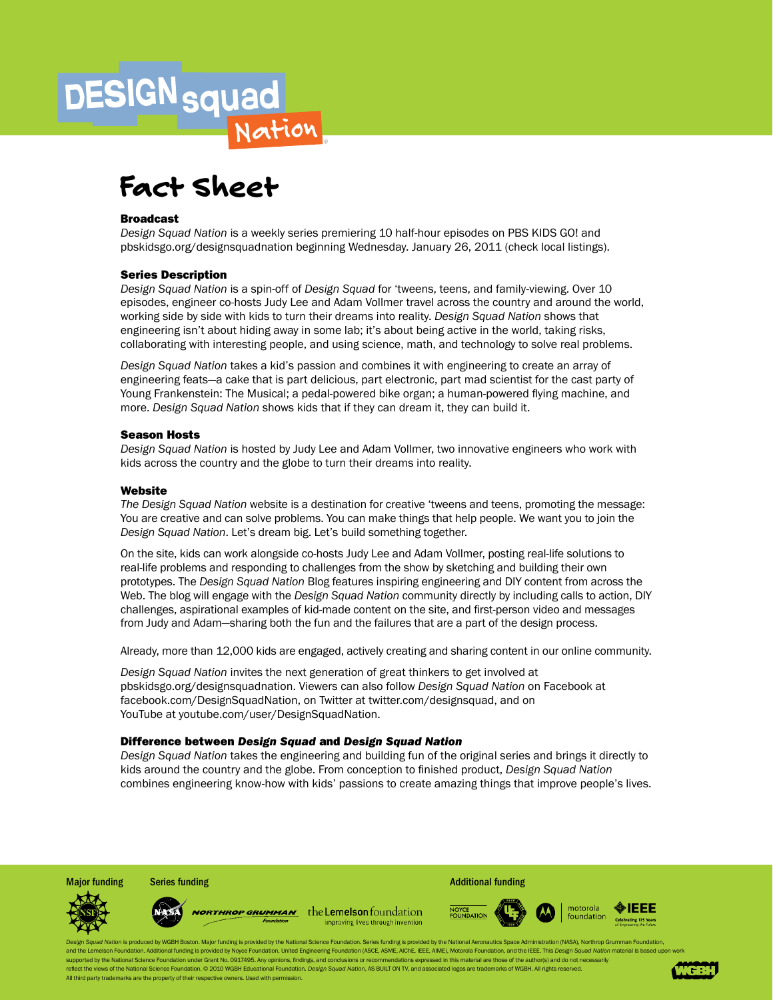# **DESIGN** squad Fact Sheet

#### Broadcast

*Design Squad Nation* is a weekly series premiering 10 half-hour episodes on PBS KIDS GO! and pbskidsgo.org/designsquadnation beginning Wednesday. January 26, 2011 (check local listings).

### Series Description

*Design Squad Nation* is a spin-off of *Design Squad* for 'tweens, teens, and family-viewing. Over 10 episodes, engineer co-hosts Judy Lee and Adam Vollmer travel across the country and around the world, working side by side with kids to turn their dreams into reality. *Design Squad Nation* shows that engineering isn't about hiding away in some lab; it's about being active in the world, taking risks, collaborating with interesting people, and using science, math, and technology to solve real problems.

*Design Squad Nation* takes a kid's passion and combines it with engineering to create an array of engineering feats—a cake that is part delicious, part electronic, part mad scientist for the cast party of Young Frankenstein: The Musical; a pedal-powered bike organ; a human-powered flying machine, and more. *Design Squad Nation* shows kids that if they can dream it, they can build it.

#### Season Hosts

*Design Squad Nation* is hosted by Judy Lee and Adam Vollmer, two innovative engineers who work with kids across the country and the globe to turn their dreams into reality.

#### **Website**

*The Design Squad Nation* website is a destination for creative 'tweens and teens, promoting the message: You are creative and can solve problems. You can make things that help people. We want you to join the *Design Squad Nation*. Let's dream big. Let's build something together.

On the site, kids can work alongside co-hosts Judy Lee and Adam Vollmer, posting real-life solutions to real-life problems and responding to challenges from the show by sketching and building their own prototypes. The *Design Squad Nation* Blog features inspiring engineering and DIY content from across the Web. The blog will engage with the *Design Squad Nation* community directly by including calls to action, DIY challenges, aspirational examples of kid-made content on the site, and first-person video and messages from Judy and Adam—sharing both the fun and the failures that are a part of the design process.

Already, more than 12,000 kids are engaged, actively creating and sharing content in our online community.

*Design Squad Nation* invites the next generation of great thinkers to get involved at pbskidsgo.org/designsquadnation. Viewers can also follow *Design Squad Nation* on Facebook at facebook.com/DesignSquadNation, on Twitter at twitter.com/designsquad, and on YouTube at youtube.com/user/DesignSquadNation.

#### Difference between *Design Squad* and *Design Squad Nation*

*Design Squad Nation* takes the engineering and building fun of the original series and brings it directly to kids around the country and the globe. From conception to finished product, *Design Squad Nation* combines engineering know-how with kids' passions to create amazing things that improve people's lives.

**NORTHROP GRUMMAN** the Lemelson foundation improving lives through invention

Major funding Series funding **Series funding Additional Funding** Additional funding



gn Squad Nation is produced by WGBH Boston. Major funding is provided by the National Science Foundation. Series funding is provided by the National Aeronautics Space Administration (NASA), Northrop Grumman Foundation, and the Lemelson Foundation. Additional funding is provided by Noyce Foundation, United Engineering Foundation, ASCE, ASME, AIChE, IEEE, AIME), Motorola Foundation, and the IEEE. This Design Squad Nation material is based upported by the National Science Foundation under Grant No. 0917495. Any opinions, findings, and conclusions or recom eflect the views of the National Science Foundation. © 2010 WGBH Educational Foundation. Design Squad Nation, AS BUILT ON TV, and associated logos are trademarks of WGBH. All rights reserved. All third party trademarks are the property of their respective owners. Used with permission.

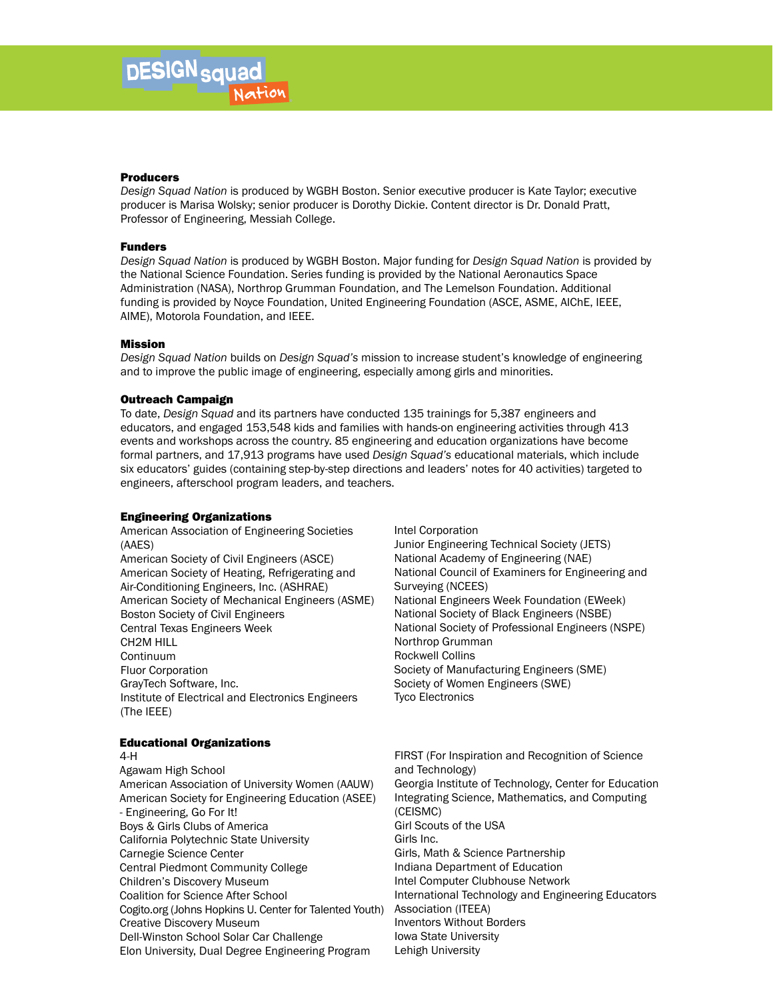#### Producers

*Design Squad Nation* is produced by WGBH Boston. Senior executive producer is Kate Taylor; executive producer is Marisa Wolsky; senior producer is Dorothy Dickie. Content director is Dr. Donald Pratt, Professor of Engineering, Messiah College.

#### Funders

*Design Squad Nation* is produced by WGBH Boston. Major funding for *Design Squad Nation* is provided by the National Science Foundation. Series funding is provided by the National Aeronautics Space Administration (NASA), Northrop Grumman Foundation, and The Lemelson Foundation. Additional funding is provided by Noyce Foundation, United Engineering Foundation (ASCE, ASME, AIChE, IEEE, AIME), Motorola Foundation, and IEEE.

#### Mission

*Design Squad Nation* builds on *Design Squad's* mission to increase student's knowledge of engineering and to improve the public image of engineering, especially among girls and minorities.

#### Outreach Campaign

To date, *Design Squad* and its partners have conducted 135 trainings for 5,387 engineers and educators, and engaged 153,548 kids and families with hands-on engineering activities through 413 events and workshops across the country. 85 engineering and education organizations have become formal partners, and 17,913 programs have used *Design Squad's* educational materials, which include six educators' guides (containing step-by-step directions and leaders' notes for 40 activities) targeted to engineers, afterschool program leaders, and teachers.

#### Engineering Organizations

American Association of Engineering Societies (AAES) American Society of Civil Engineers (ASCE) American Society of Heating, Refrigerating and Air-Conditioning Engineers, Inc. (ASHRAE) American Society of Mechanical Engineers (ASME) Boston Society of Civil Engineers Central Texas Engineers Week CH2M HILL Continuum Fluor Corporation GrayTech Software, Inc. Institute of Electrical and Electronics Engineers (The IEEE)

#### Educational Organizations

#### 4-H

Agawam High School American Association of University Women (AAUW) American Society for Engineering Education (ASEE) - Engineering, Go For It! Boys & Girls Clubs of America California Polytechnic State University Carnegie Science Center Central Piedmont Community College Children's Discovery Museum Coalition for Science After School Cogito.org (Johns Hopkins U. Center for Talented Youth) Creative Discovery Museum Dell-Winston School Solar Car Challenge Elon University, Dual Degree Engineering Program

Intel Corporation Junior Engineering Technical Society (JETS) National Academy of Engineering (NAE) National Council of Examiners for Engineering and Surveying (NCEES) National Engineers Week Foundation (EWeek) National Society of Black Engineers (NSBE) National Society of Professional Engineers (NSPE) Northrop Grumman Rockwell Collins Society of Manufacturing Engineers (SME) Society of Women Engineers (SWE) Tyco Electronics

FIRST (For Inspiration and Recognition of Science and Technology) Georgia Institute of Technology, Center for Education Integrating Science, Mathematics, and Computing (CEISMC) Girl Scouts of the USA Girls Inc. Girls, Math & Science Partnership Indiana Department of Education Intel Computer Clubhouse Network International Technology and Engineering Educators Association (ITEEA) Inventors Without Borders Iowa State University Lehigh University